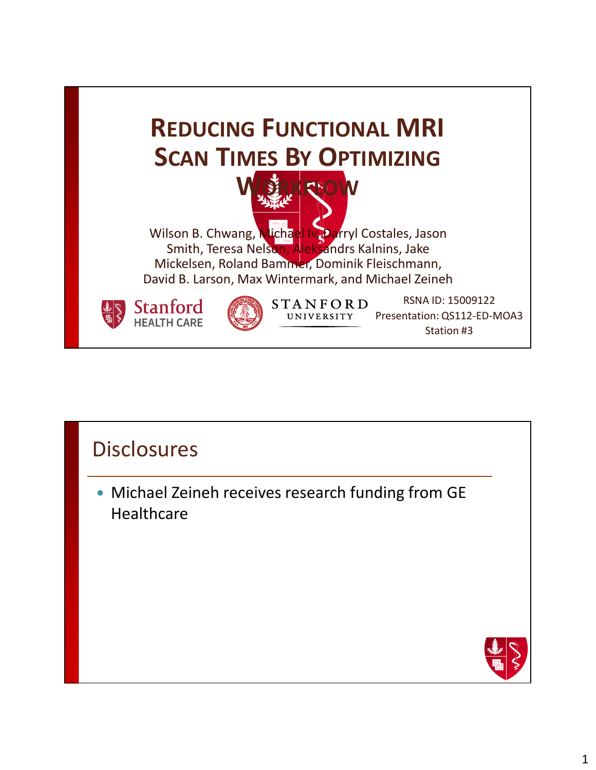

### **Disclosures**

 Michael Zeineh receives research funding from GE **Healthcare** 

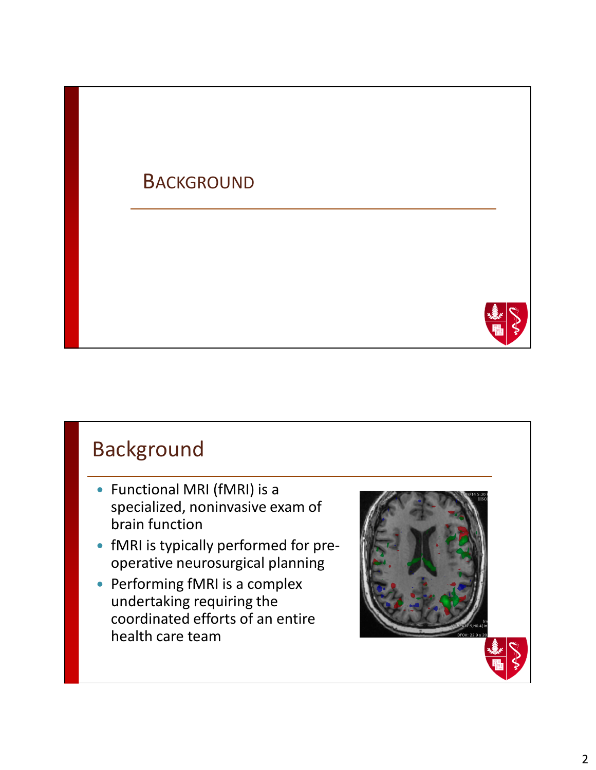### **BACKGROUND**



### Background

- Functional MRI (fMRI) is a specialized, noninvasive exam of brain function
- fMRI is typically performed for preoperative neurosurgical planning
- Performing fMRI is a complex undertaking requiring the coordinated efforts of an entire health care team

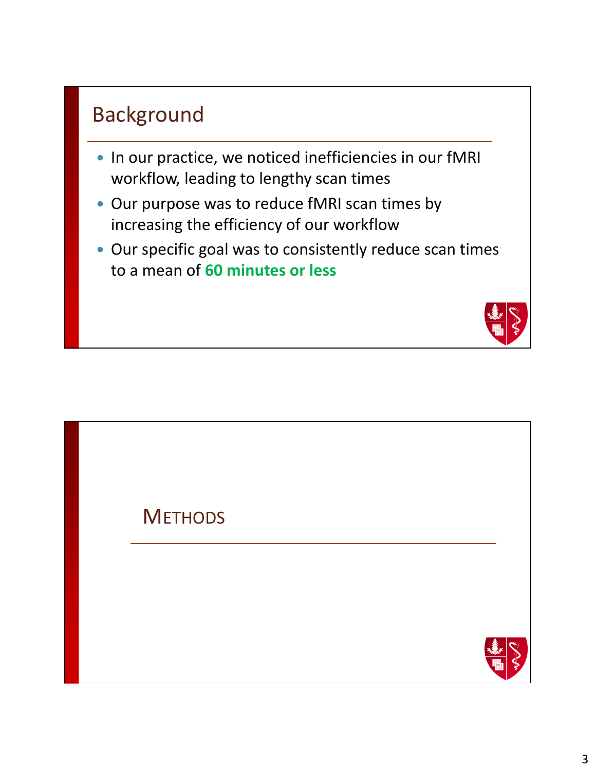### Background

- In our practice, we noticed inefficiencies in our fMRI workflow, leading to lengthy scan times
- Our purpose was to reduce fMRI scan times by increasing the efficiency of our workflow
- Our specific goal was to consistently reduce scan times to a mean of **60 minutes or less**



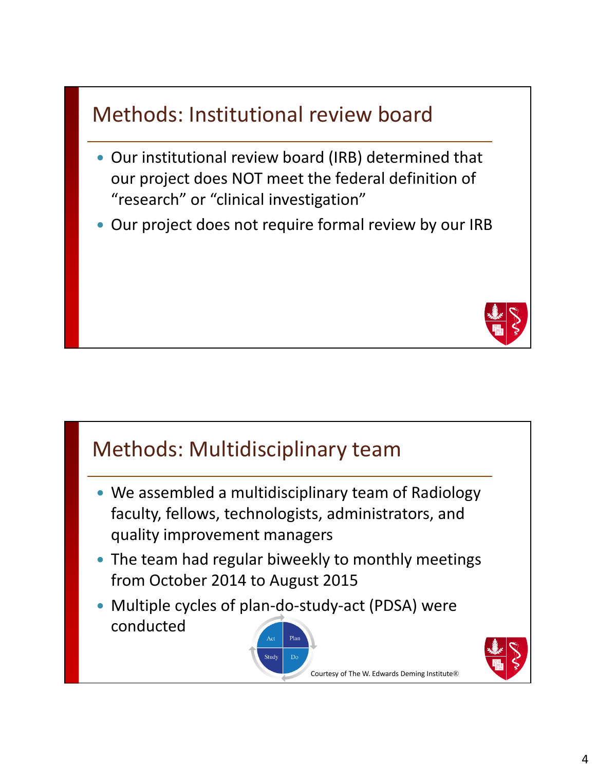# Methods: Institutional review board

- Our institutional review board (IRB) determined that our project does NOT meet the federal definition of "research" or "clinical investigation"
- Our project does not require formal review by our IRB



# Methods: Multidisciplinary team We assembled a multidisciplinary team of Radiology faculty, fellows, technologists, administrators, and quality improvement managers • The team had regular biweekly to monthly meetings from October 2014 to August 2015 Multiple cycles of plan-do-study-act (PDSA) were conducted Courtesy of The W. Edwards Deming Institute®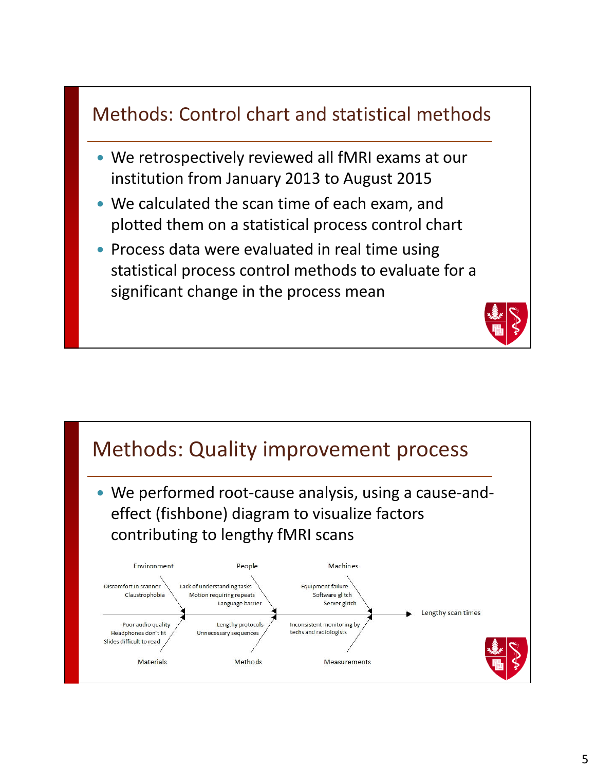### Methods: Control chart and statistical methods

- We retrospectively reviewed all fMRI exams at our institution from January 2013 to August 2015
- We calculated the scan time of each exam, and plotted them on a statistical process control chart
- Process data were evaluated in real time using statistical process control methods to evaluate for a significant change in the process mean

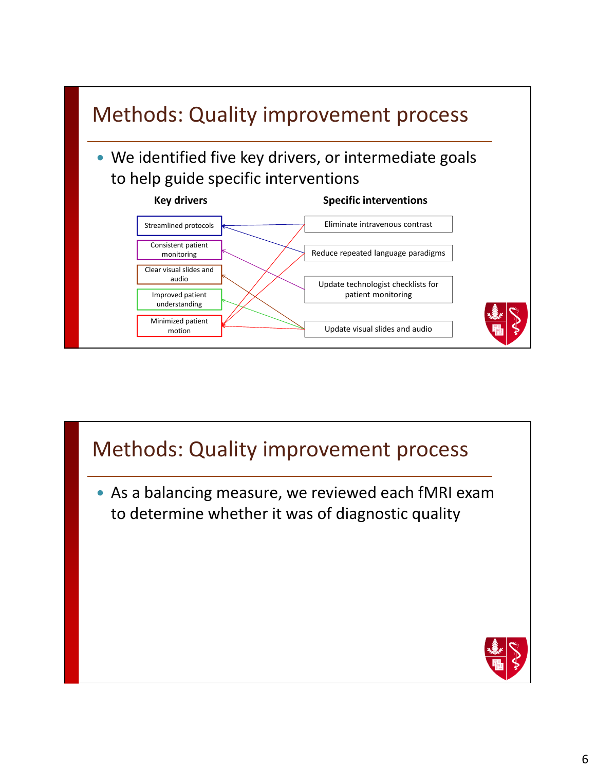

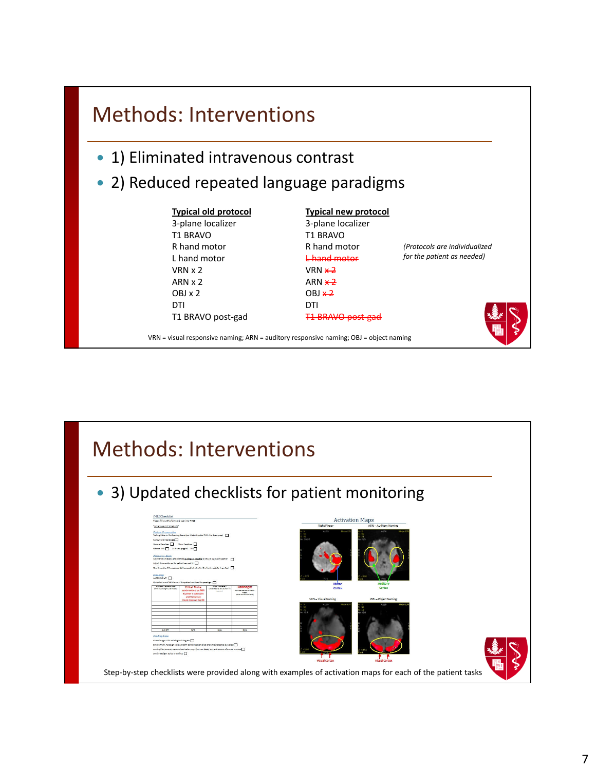### Methods: Interventions

- 1) Eliminated intravenous contrast
- 2) Reduced repeated language paradigms

#### **Typical old protocol** 3-plane localizer T1 BRAVO R hand motor L hand motor VRN x 2 ARN x 2 OBJ x 2 DTI T1 BRAVO post-gad

**Typical new protocol** 3-plane localizer

T1 BRAVO post-gad

T1 BRAVO R hand motor L hand motor  $VRN$   $\times$  2  $ARN \times 2$  $OBJ x2$ DTI

*(Protocols are individualized for the patient as needed)*



VRN = visual responsive naming; ARN = auditory responsive naming; OBJ = object naming



#### 7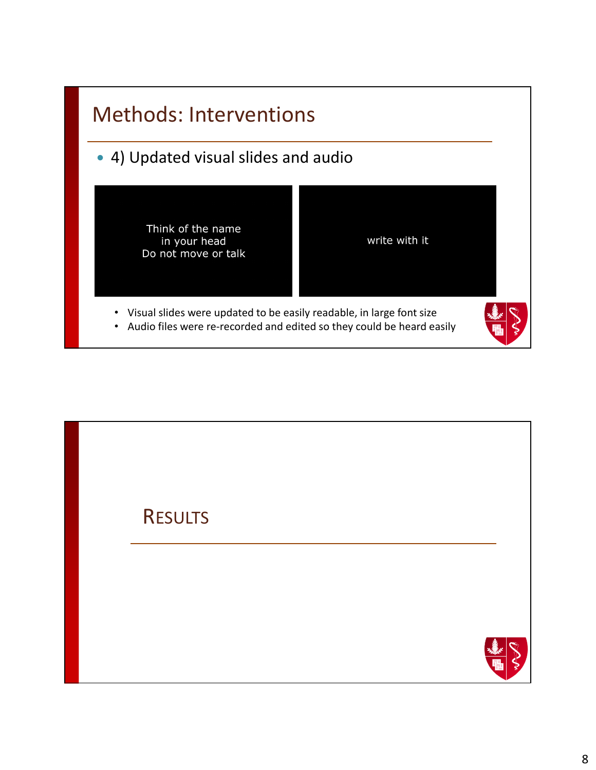

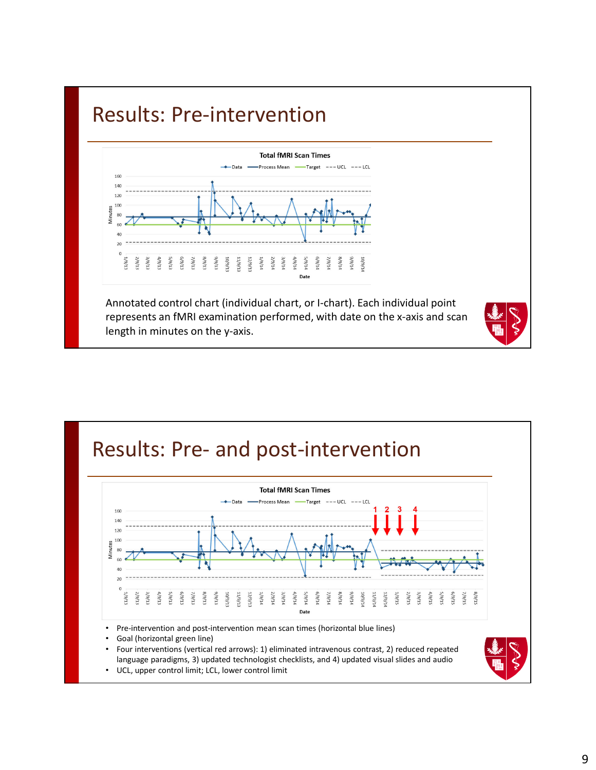### Results: Pre-intervention



Annotated control chart (individual chart, or I-chart). Each individual point represents an fMRI examination performed, with date on the x-axis and scan length in minutes on the y-axis.





• Goal (horizontal green line)

• Four interventions (vertical red arrows): 1) eliminated intravenous contrast, 2) reduced repeated language paradigms, 3) updated technologist checklists, and 4) updated visual slides and audio • UCL, upper control limit; LCL, lower control limit

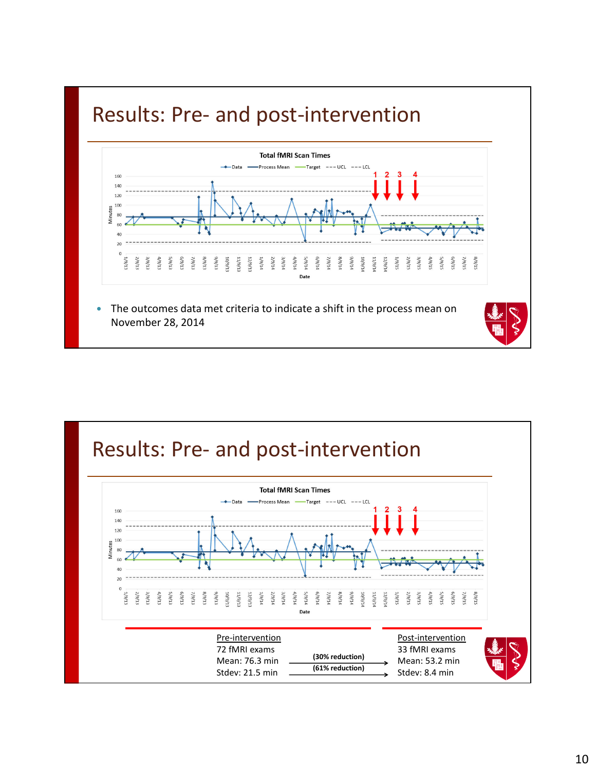### Results: Pre- and post-intervention



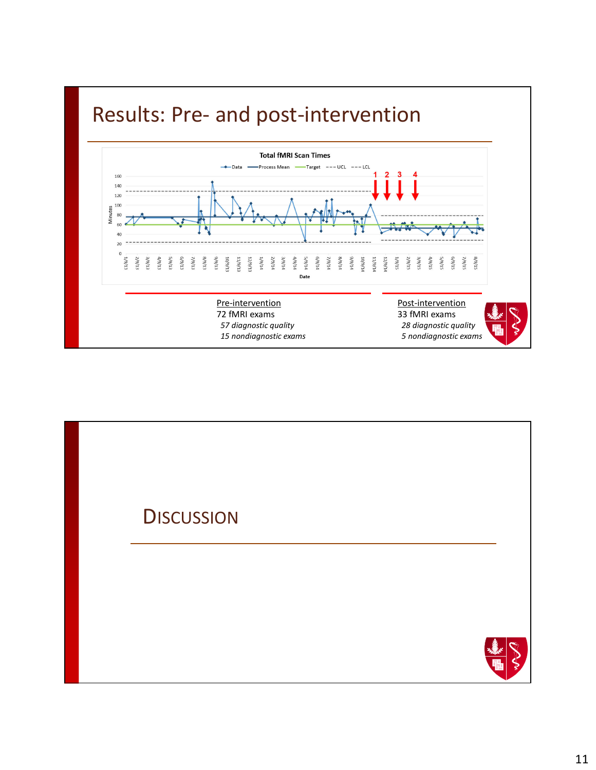

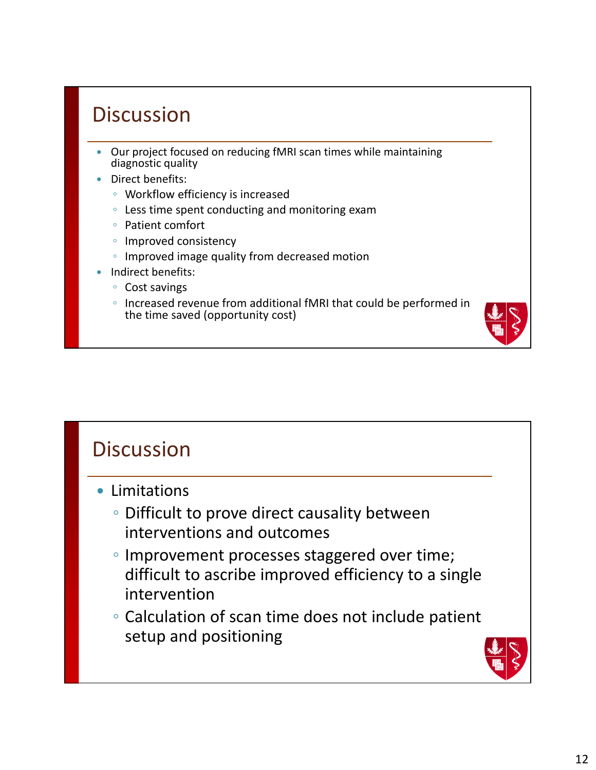## **Discussion**

- Our project focused on reducing fMRI scan times while maintaining diagnostic quality
- Direct benefits:
	- Workflow efficiency is increased
	- Less time spent conducting and monitoring exam
	- Patient comfort
	- Improved consistency
	- Improved image quality from decreased motion
- Indirect benefits:
	- Cost savings
	- Increased revenue from additional fMRI that could be performed in the time saved (opportunity cost)



- Limitations
	- Difficult to prove direct causality between interventions and outcomes
	- Improvement processes staggered over time; difficult to ascribe improved efficiency to a single intervention
	- Calculation of scan time does not include patient setup and positioning

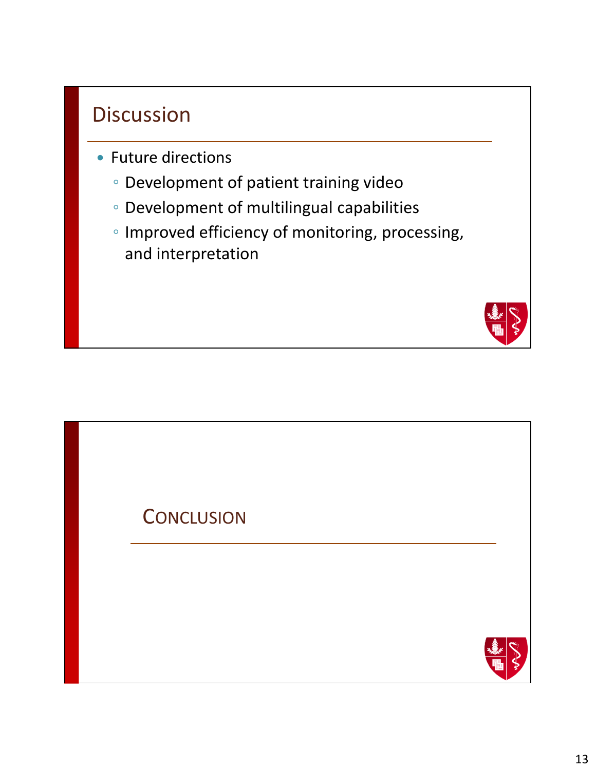### **Discussion**

- Future directions
	- Development of patient training video
	- Development of multilingual capabilities
	- Improved efficiency of monitoring, processing, and interpretation